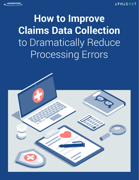# **How to Improve Claims Data Collection**  to Dramatically Reduce Processing Errors

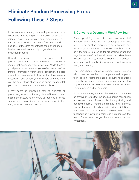## **Eliminate Random Processing Errors Following These 7 Steps**

In the insurance industry, processing errors can have costly and far-reaching effects including delayed or rejected claims, intermingled or incomplete records, and broken trust with customers. The quality and accuracy of the data collected to feed or enhance business operations are only as good as the collection process.

How do you know if you have a good collection process? The most obvious answer is to maintain a metric that describes your error rate. While that's a good place to start examining the effectiveness of the transfer information within your organization, it is also a reactive measurement of errors that have already occurred. Good or bad, your error rate can only show you the percentage of processing errors. It cannot tell you how to prevent errors in the first place.

It may seem an impossible task to eliminate all processing errors, but using state-of-the-art, smart document capture technology, as outlined in these seven steps can position your insurance organization for greater accuracy and success.

### **1. Convene a Document Workflow Team**

Simply providing a set of instructions to a staff member and asking them to develop a form that suits users, existing proprietary systems and any technology you may employ to read the forms now, or in the future, is a recipe for processing errors. Put together a cross-functional document workflow team whose responsibility includes examining processes associated with key business forms as well as form design and testing.

The team should consist of subject matter experts who have researched or implemented superior form design. Members should document solutions currently in place, refine processes surrounding key documents, as well as review future document capture needs and technologies.

A document manager should be assigned to maintain an archive of forms that includes a naming convention and version control. Plans for distributing, storing, and destroying forms should be created and followed. Finally, if you are already working with an intelligent document capture software provider, solicit their feedback on how form design can help improve the read of your forms to get the most return on your investment.

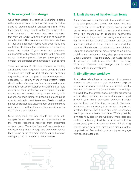#### **2. Assure good form design**

Good form design is a science. Designing a clean, well-structured form is one of the most important steps to prevent random processing errors. While there may be many people within your organization who can create a document, that does not mean that they are familiar with the principles of designing complex forms like insurance applications. We have all received application forms with small fields and confusing structures that contribute to processing errors. No matter if your forms are completed electronically or by hand, it is critical to the outcome of your business process that you investigate and consider the principles of what makes for a good form.

There are dozens of actions to consider in creating an effective form. In general, forms should be brief, structured in a single vertical column, and must only require the customer to provide essential information necessary to identify them in your system. Fields should reflect the way that data is captured in your systems to reduce confusion when it is time to validate data or set them up for document capture. Tips like making use of barcodes, drop down menus, radio buttons, zip code tables, and checkboxes should be used to reduce human intervention. Fields should be placed at a reasonable distance from one another and white space considered to make forms easily read by both humans and software.

Once completed, the form should be tested with multiple forms whose data is representative of the typical responses received from customers or form users. Track the "dummy" documents and corresponding data through the workflow. Check for common errors that may indicate a need to make changes to the form before a wider release.

#### **3. Limit the use of hand-written forms**

If you have ever spent time with the stacks of work in a data processing center, you know that not everyone can or will write in legible, evenly spaced capital letters easily read by people and software. While the technology to recognize handwritten characters has improved, it will always require more human intervention through a validation process than machine printed or digital forms. Consider all the sources of handwritten documents in your workflows. Look for opportunities to move forms to an online portal or an on-demand integration process where Optical Character Recognition (OCR) software ingests the document, reads it, and eliminates data entry. Work with customers and policyholders to adopt online tools during enrollment.

#### **4. Simplify your workflow**

A workflow describes a sequence of processes needed to accomplish a task. Workflows help an organization achieve consistent, predictable results with their processes. The greater the number of steps in a workflow, the greater opportunity for processing errors. Map how your insurance documents travel through your work processes between humans and machines and from input to output. Challenge the status quo by asking why the current process functions the way that it does and whether changes would produce a better outcome. When possible, eliminate risky steps in the workflow where data can be lost or miscategorized (i.e., in a manual batching process) and processing delayed times of fluctuating volume. When perfected, distribute a diagram of the simplified workflow to help your employees engage with desired outcomes.